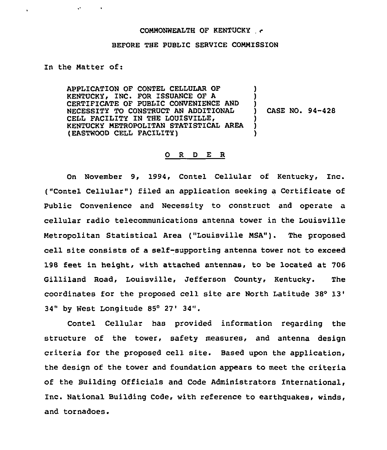## COMMONWEALTH OF KENTUCKY

## BEFORE THE PUBLIC SERVICE COMMISSION

## In the Matter of:

 $\mathbf{v}^{\mathrm{max}}$  and  $\mathbf{v}$ 

 $\ddot{\phantom{a}}$ 

APPLICATION OF CONTEL CELLULAR OF KENTUCKY, INC. FOR ISSUANCE OF A CERTIFICATE OF PUBLIC CONVENIENCE AND NECESSITY TO CONSTRUCT AN ADDITIONAL CELL FACILITY IN THE LOUISVILLE, KENTUCKY METROPOLITAN STATISTICAL AREA (EASTWOOD CELL FACILITY) ) ) ) ) CASE NO. 94-428 ) ) )

## 0 <sup>R</sup> <sup>D</sup> E R

On November 9, 1994, Contel Cellular of Kentucky, Inc. ("Contel Cellular") filed an application seeking a Certificate of public Convenience and Necessity to construct and operate a cellular radio telecommunications antenna tower in the Louisville Metropolitan Statistical Area ("Louisville MSA"). The proposed cell site consists of a self-supporting antenna tower not to exceed 198 feet in height, with attached antennas, to be located at 706 Gilliland Road, Louisville, Jefferson County, Kentucky. The coordinates for the proposed cell site are North Latitude 38 34" by West Longitude 85° 27' 34".

Contel Cellular has provided information regarding the structure of the tower, safety measures, and antenna design criteria for the proposed cell site. Based upon the application, the design of the tower and foundation appears to meet the criteria of the Building Officials and Code Administrators international, Inc. National Building Code, with reference to earthquakes, winds, and tornadoes.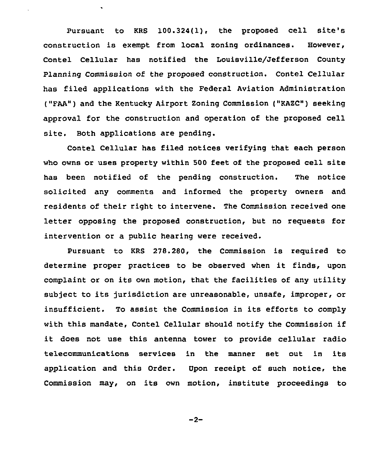Pursuant to KRs 100.324(l), the proposed cell site's construction is exempt from local zoning ordinances. However, Contel Cellular has notified the Louisville/Jefferson County Planning Commission of the proposed construction. Contel Cellular has filed applications with the Federal Aviation Administration ("FAA") and the Kentucky Airport Zoning Commission ("KAZC") seeking approval for the construction and operation of the proposed cell site. Both applications are pending.

Contel Cellular has filed notices verifying that each person who owns or uses property within 500 feet of the proposed cell site has been notified of the pending construction. The notice solicited any comments and informed the property owners and residents of their right to intervene. The Commission received one letter opposing the proposed construction, but no requests for intervention or a public hearing were received.

Pursuant to KRS 278.280, the Commission is required to determine proper practices to be observed when it finds, upon complaint or on its own motion, that the facilities of any utility subject to its jurisdiction are unreasonable, unsafe, improper, or insufficient. To assist the Commission in its efforts to comply with this mandate, Contel Cellular should notify the Commission if it does not use this antenna tower to provide cellular radio telecommunications services in the manner set out in its application and this Order. Upon receipt of such notice, the Commission may, on its own motion, institute proceedings to

 $-2-$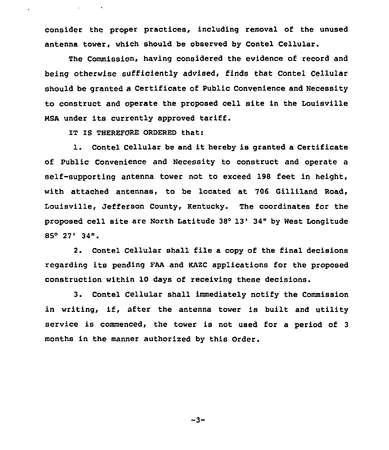consider the proper practices, including removal of the unused antenna tower, which should be observed by Contel Cellular.

The Commission, having considered the evidence of record and being otherwise sufficiently advised, finds that Contel Cellular should be granted a Certificate of Public Convenience and Necessity to construct and operate the proposed cell site in the Louisville NSa under its currently approved tariff.

IT IS THEREFORE ORDERED that:

**Contract Contract** 

1. Contel Cellular be and it hereby is granted <sup>a</sup> Certificate of Public Convenience and Necessity to construct and operate a self-supporting antenna tower not to exceed 198 feet in height, with attached antennas, to be located at 706 Gilliland Road, Louisville, Jefferson County, Kentucky. The coordinates for the proposed cell site are North Latitude 3S'3'4" by West Longitude  $85^{\circ}$  27' 34".

2. Contel Cellular shall file a copy of the final decisions regarding its pending FaA and KAZC applications for the proposed construction within 10 days of receiving these decisions.

3. Contel Cellular shall immediately notify the Commission in writing, if, after the antenna tower is built and utility service is commenced, the tower is not used for a period of <sup>3</sup> months in the manner authorized by this Order.

 $-3-$